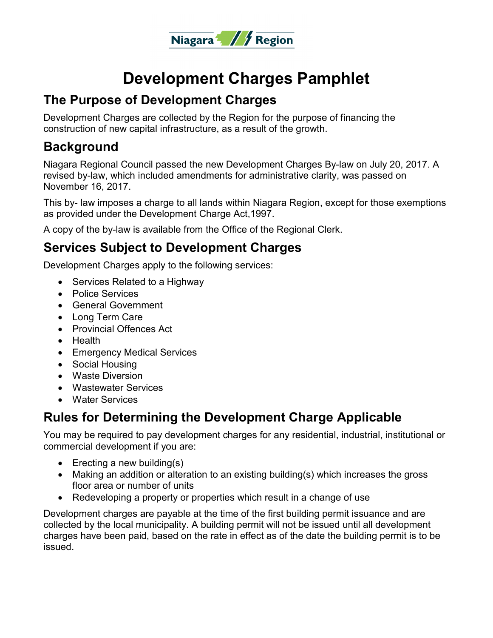

# **Development Charges Pamphlet**

### **The Purpose of Development Charges**

Development Charges are collected by the Region for the purpose of financing the construction of new capital infrastructure, as a result of the growth.

# **Background**

Niagara Regional Council passed the new Development Charges By-law on July 20, 2017. A revised by-law, which included amendments for administrative clarity, was passed on November 16, 2017.

This by- law imposes a charge to all lands within Niagara Region, except for those exemptions as provided under the Development Charge Act,1997.

A copy of the by-law is available from the Office of the Regional Clerk.

### **Services Subject to Development Charges**

Development Charges apply to the following services:

- Services Related to a Highway
- Police Services
- General Government
- Long Term Care
- Provincial Offences Act
- Health
- Emergency Medical Services
- Social Housing
- Waste Diversion
- Wastewater Services
- Water Services

# **Rules for Determining the Development Charge Applicable**

You may be required to pay development charges for any residential, industrial, institutional or commercial development if you are:

- Erecting a new building(s)
- Making an addition or alteration to an existing building(s) which increases the gross floor area or number of units
- Redeveloping a property or properties which result in a change of use

Development charges are payable at the time of the first building permit issuance and are collected by the local municipality. A building permit will not be issued until all development charges have been paid, based on the rate in effect as of the date the building permit is to be issued.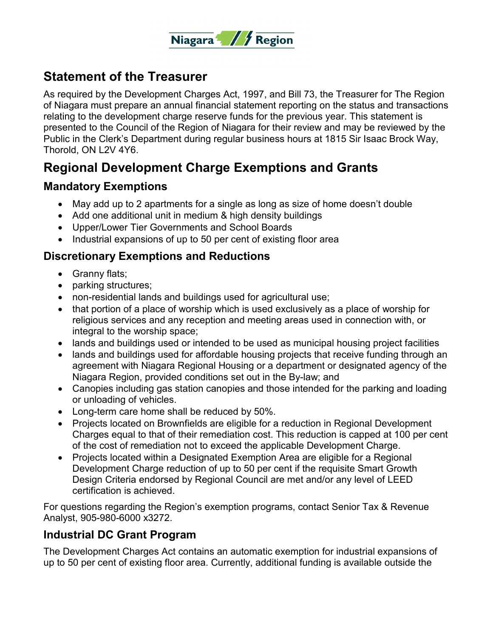

### **Statement of the Treasurer**

As required by the Development Charges Act, 1997, and Bill 73, the Treasurer for The Region of Niagara must prepare an annual financial statement reporting on the status and transactions relating to the development charge reserve funds for the previous year. This statement is presented to the Council of the Region of Niagara for their review and may be reviewed by the Public in the Clerk's Department during regular business hours at 1815 Sir Isaac Brock Way, Thorold, ON L2V 4Y6.

# **Regional Development Charge Exemptions and Grants**

### **Mandatory Exemptions**

- May add up to 2 apartments for a single as long as size of home doesn't double
- Add one additional unit in medium & high density buildings
- Upper/Lower Tier Governments and School Boards
- Industrial expansions of up to 50 per cent of existing floor area

### **Discretionary Exemptions and Reductions**

- Granny flats;
- parking structures;
- non-residential lands and buildings used for agricultural use;
- that portion of a place of worship which is used exclusively as a place of worship for religious services and any reception and meeting areas used in connection with, or integral to the worship space;
- lands and buildings used or intended to be used as municipal housing project facilities
- lands and buildings used for affordable housing projects that receive funding through an agreement with Niagara Regional Housing or a department or designated agency of the Niagara Region, provided conditions set out in the By-law; and
- Canopies including gas station canopies and those intended for the parking and loading or unloading of vehicles.
- Long-term care home shall be reduced by 50%.
- Projects located on Brownfields are eligible for a reduction in Regional Development Charges equal to that of their remediation cost. This reduction is capped at 100 per cent of the cost of remediation not to exceed the applicable Development Charge.
- Projects located within a Designated Exemption Area are eligible for a Regional Development Charge reduction of up to 50 per cent if the requisite Smart Growth Design Criteria endorsed by Regional Council are met and/or any level of LEED certification is achieved.

For questions regarding the Region's exemption programs, contact Senior Tax & Revenue Analyst, 905-980-6000 x3272.

### **Industrial DC Grant Program**

The Development Charges Act contains an automatic exemption for industrial expansions of up to 50 per cent of existing floor area. Currently, additional funding is available outside the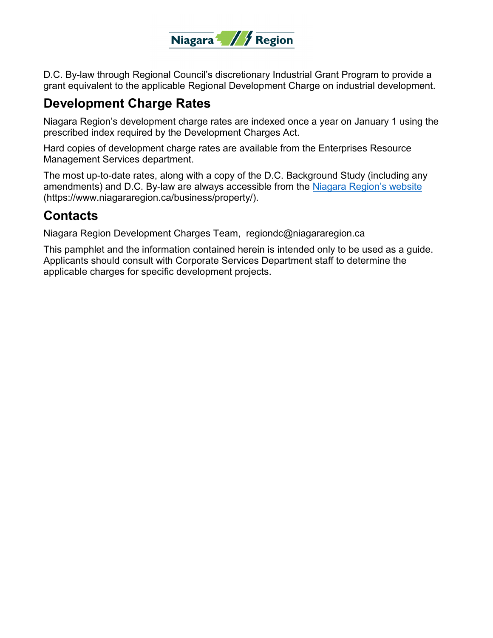

D.C. By-law through Regional Council's discretionary Industrial Grant Program to provide a grant equivalent to the applicable Regional Development Charge on industrial development.

### **Development Charge Rates**

Niagara Region's development charge rates are indexed once a year on January 1 using the prescribed index required by the Development Charges Act.

Hard copies of development charge rates are available from the Enterprises Resource Management Services department.

The most up-to-date rates, along with a copy of the D.C. Background Study (including any amendments) and D.C. By-law are always accessible from the [Niagara Region's website](https://www.niagararegion.ca/business/property/default.aspx?topnav=1) (https://www.niagararegion.ca/business/property/).

# **Contacts**

Niagara Region Development Charges Team, regiondc@niagararegion.ca

This pamphlet and the information contained herein is intended only to be used as a guide. Applicants should consult with Corporate Services Department staff to determine the applicable charges for specific development projects.